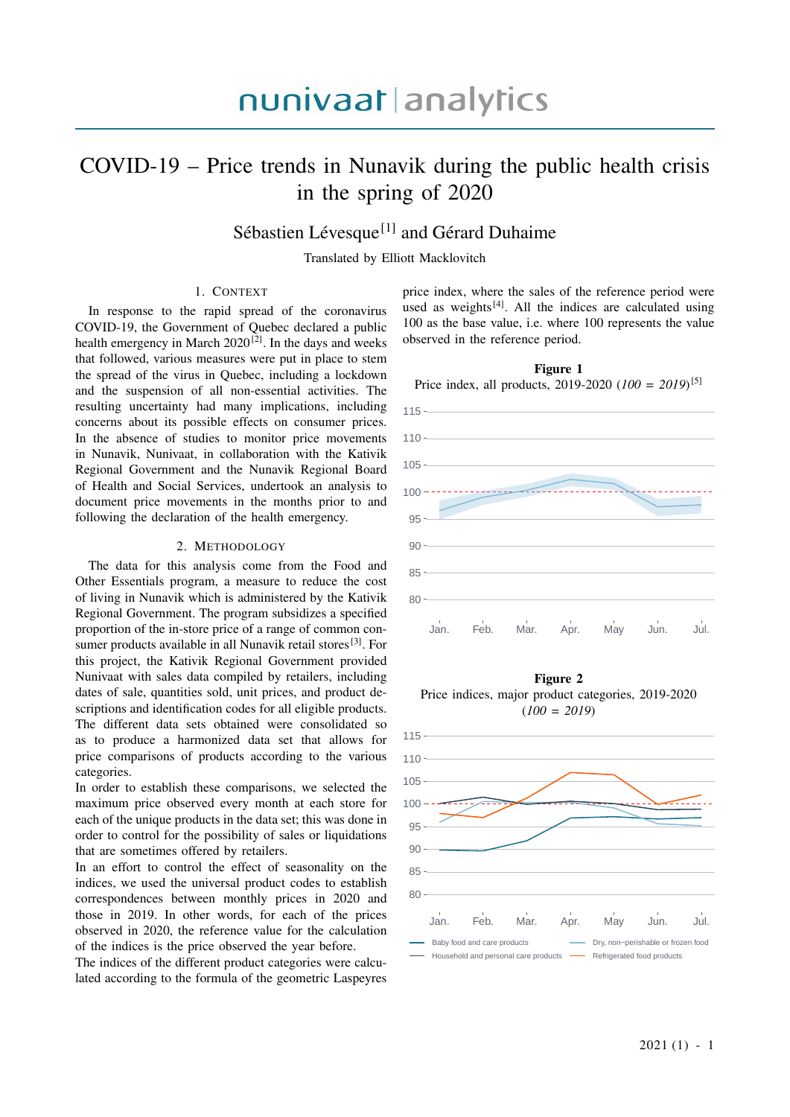### COVID-19 – Price trends in Nunavik during the public health crisis in the spring of 2020

### Sébastien Lévesque<sup>[1]</sup> and Gérard Duhaime

Translated by Elliott Macklovitch

#### 1. CONTEXT

In response to the rapid spread of the coronavirus COVID-19, the Government of Quebec declared a public health emergency in March  $2020^{[2]}$ . In the days and weeks that followed, various measures were put in place to stem the spread of the virus in Quebec, including a lockdown and the suspension of all non-essential activities. The resulting uncertainty had many implications, including concerns about its possible effects on consumer prices. In the absence of studies to monitor price movements in Nunavik, Nunivaat, in collaboration with the Kativik Regional Government and the Nunavik Regional Board of Health and Social Services, undertook an analysis to document price movements in the months prior to and following the declaration of the health emergency.

#### 2. METHODOLOGY

The data for this analysis come from the Food and Other Essentials program, a measure to reduce the cost of living in Nunavik which is administered by the Kativik Regional Government. The program subsidizes a specified proportion of the in-store price of a range of common consumer products available in all Nunavik retail stores<sup>[3]</sup>. For this project, the Kativik Regional Government provided Nunivaat with sales data compiled by retailers, including dates of sale, quantities sold, unit prices, and product descriptions and identification codes for all eligible products. The different data sets obtained were consolidated so as to produce a harmonized data set that allows for price comparisons of products according to the various categories.

In order to establish these comparisons, we selected the maximum price observed every month at each store for each of the unique products in the data set; this was done in order to control for the possibility of sales or liquidations that are sometimes offered by retailers.

In an effort to control the effect of seasonality on the indices, we used the universal product codes to establish correspondences between monthly prices in 2020 and those in 2019. In other words, for each of the prices observed in 2020, the reference value for the calculation of the indices is the price observed the year before.

The indices of the different product categories were calculated according to the formula of the geometric Laspeyres price index, where the sales of the reference period were used as weights $[4]$ . All the indices are calculated using 100 as the base value, i.e. where 100 represents the value observed in the reference period.





Figure 2 Price indices, major product categories, 2019-2020 (*100 = 2019*)

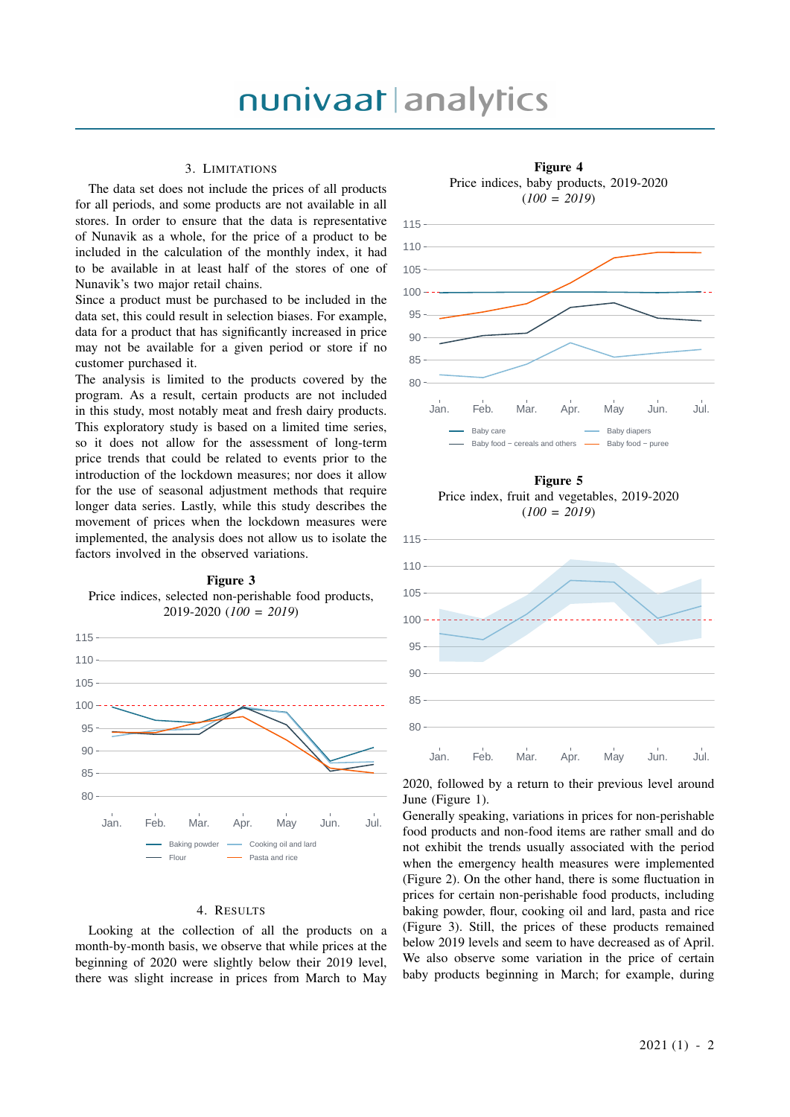#### 3. LIMITATIONS

The data set does not include the prices of all products for all periods, and some products are not available in all stores. In order to ensure that the data is representative of Nunavik as a whole, for the price of a product to be included in the calculation of the monthly index, it had to be available in at least half of the stores of one of Nunavik's two major retail chains.

Since a product must be purchased to be included in the data set, this could result in selection biases. For example, data for a product that has significantly increased in price may not be available for a given period or store if no customer purchased it.

The analysis is limited to the products covered by the program. As a result, certain products are not included in this study, most notably meat and fresh dairy products. This exploratory study is based on a limited time series, so it does not allow for the assessment of long-term price trends that could be related to events prior to the introduction of the lockdown measures; nor does it allow for the use of seasonal adjustment methods that require longer data series. Lastly, while this study describes the movement of prices when the lockdown measures were implemented, the analysis does not allow us to isolate the factors involved in the observed variations.



#### Figure 3 Price indices, selected non-perishable food products, 2019-2020 (*100 = 2019*)

#### 4. RESULTS

Looking at the collection of all the products on a month-by-month basis, we observe that while prices at the beginning of 2020 were slightly below their 2019 level, there was slight increase in prices from March to May



Figure 5 Price index, fruit and vegetables, 2019-2020 (*100 = 2019*)



2020, followed by a return to their previous level around June (Figure 1).

Generally speaking, variations in prices for non-perishable food products and non-food items are rather small and do not exhibit the trends usually associated with the period when the emergency health measures were implemented (Figure 2). On the other hand, there is some fluctuation in prices for certain non-perishable food products, including baking powder, flour, cooking oil and lard, pasta and rice (Figure 3). Still, the prices of these products remained below 2019 levels and seem to have decreased as of April. We also observe some variation in the price of certain baby products beginning in March; for example, during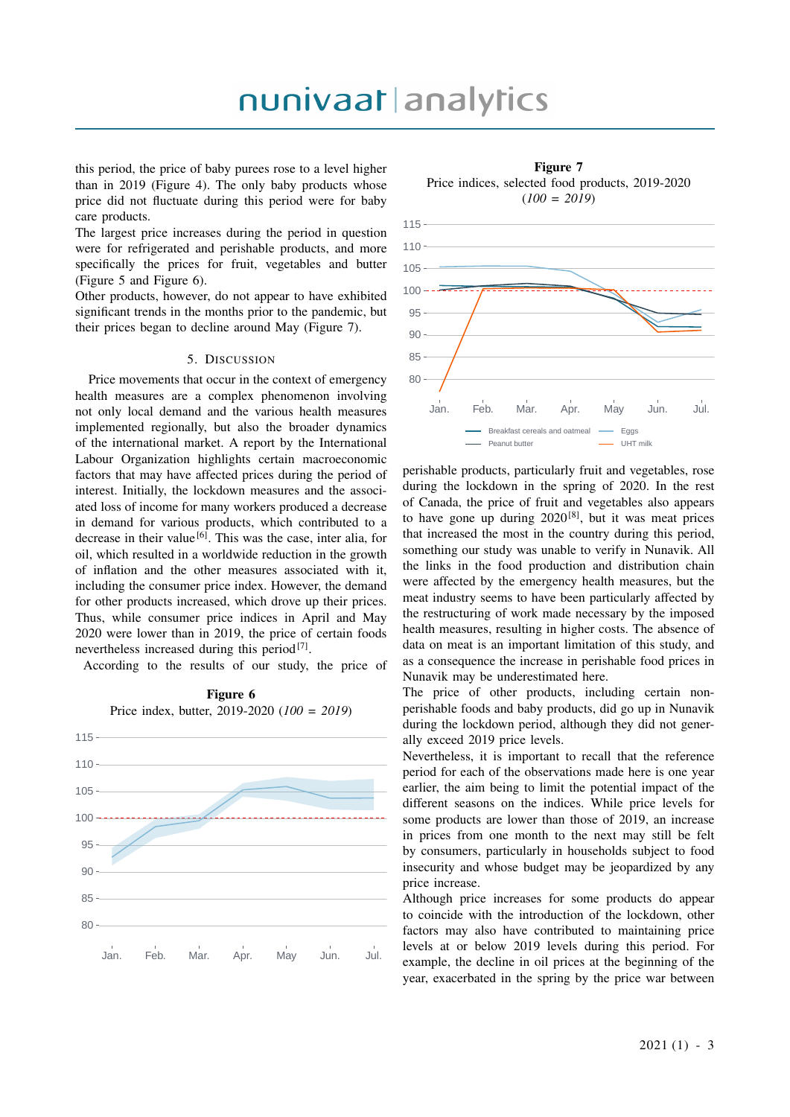## nunivaat analytics

this period, the price of baby purees rose to a level higher than in 2019 (Figure 4). The only baby products whose price did not fluctuate during this period were for baby care products.

The largest price increases during the period in question were for refrigerated and perishable products, and more specifically the prices for fruit, vegetables and butter (Figure 5 and Figure 6).

Other products, however, do not appear to have exhibited significant trends in the months prior to the pandemic, but their prices began to decline around May (Figure 7).

#### 5. DISCUSSION

Price movements that occur in the context of emergency health measures are a complex phenomenon involving not only local demand and the various health measures implemented regionally, but also the broader dynamics of the international market. A report by the International Labour Organization highlights certain macroeconomic factors that may have affected prices during the period of interest. Initially, the lockdown measures and the associated loss of income for many workers produced a decrease in demand for various products, which contributed to a decrease in their value<sup>[6]</sup>. This was the case, inter alia, for oil, which resulted in a worldwide reduction in the growth of inflation and the other measures associated with it, including the consumer price index. However, the demand for other products increased, which drove up their prices. Thus, while consumer price indices in April and May 2020 were lower than in 2019, the price of certain foods nevertheless increased during this period<sup>[7]</sup>.

According to the results of our study, the price of

Figure 6 Price index, butter, 2019-2020 (*100 = 2019*)



Figure 7 Price indices, selected food products, 2019-2020 (*100 = 2019*)



perishable products, particularly fruit and vegetables, rose during the lockdown in the spring of 2020. In the rest of Canada, the price of fruit and vegetables also appears to have gone up during  $2020^{[8]}$ , but it was meat prices that increased the most in the country during this period, something our study was unable to verify in Nunavik. All the links in the food production and distribution chain were affected by the emergency health measures, but the meat industry seems to have been particularly affected by the restructuring of work made necessary by the imposed health measures, resulting in higher costs. The absence of data on meat is an important limitation of this study, and as a consequence the increase in perishable food prices in Nunavik may be underestimated here.

The price of other products, including certain nonperishable foods and baby products, did go up in Nunavik during the lockdown period, although they did not generally exceed 2019 price levels.

Nevertheless, it is important to recall that the reference period for each of the observations made here is one year earlier, the aim being to limit the potential impact of the different seasons on the indices. While price levels for some products are lower than those of 2019, an increase in prices from one month to the next may still be felt by consumers, particularly in households subject to food insecurity and whose budget may be jeopardized by any price increase.

Although price increases for some products do appear to coincide with the introduction of the lockdown, other factors may also have contributed to maintaining price levels at or below 2019 levels during this period. For example, the decline in oil prices at the beginning of the year, exacerbated in the spring by the price war between